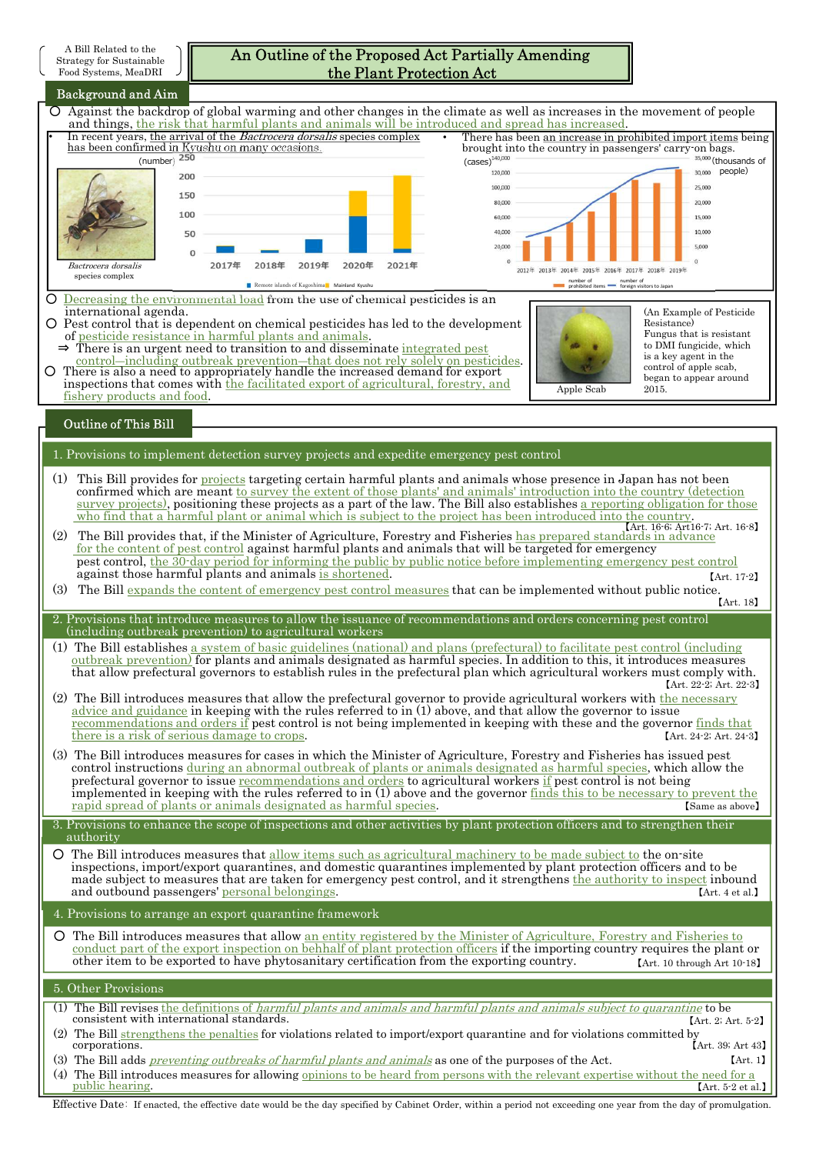| A Bill Related to the<br>An Outline of the Proposed Act Partially Amending<br>Strategy for Sustainable<br>the Plant Protection Act<br>Food Systems, MeaDRI                                                                                                                                                                                                                                                                                                                                                                                                                                                                                                                                                                 |                                                                                                                                                                                       |
|----------------------------------------------------------------------------------------------------------------------------------------------------------------------------------------------------------------------------------------------------------------------------------------------------------------------------------------------------------------------------------------------------------------------------------------------------------------------------------------------------------------------------------------------------------------------------------------------------------------------------------------------------------------------------------------------------------------------------|---------------------------------------------------------------------------------------------------------------------------------------------------------------------------------------|
| <b>Background and Aim</b><br>O Against the backdrop of global warming and other changes in the climate as well as increases in the movement of people<br>and things, the risk that harmful plants and animals will be introduced and spread has increased.<br>In recent years, the arrival of the <i>Bactrocera dorsalis</i> species complex<br>has been confirmed in Kyushu on many occasions.<br>brought into the country in passengers' carry-on bags.                                                                                                                                                                                                                                                                  | There has been an increase in prohibited import items being                                                                                                                           |
| (number) $250$<br>$\left( \text{cases} \right)^{140,000}$<br>120,000<br>200<br>100,000<br>150<br>80,000<br>100<br>60,000<br>40,000<br>50<br>20,000<br>2018年<br>2019年<br>2020年<br>2021年<br>2017年<br>Bactrocera dorsalis<br>2012年 2013年 2014年 2015年 2016年 2017年 2018年 2019年<br>species complex<br>Remote islands of Kagoshima Mainland Kyushu                                                                                                                                                                                                                                                                                                                                                                                | 35,000 (thousands of<br>30,000 people)<br>25,000<br>20,000<br>15,000<br>10,000<br>5.000<br>number of number of<br>prohibited items foreign visitors to Japan                          |
| O Decreasing the environmental load from the use of chemical pesticides is an<br>international agenda.<br>O Pest control that is dependent on chemical pesticides has led to the development<br>of pesticide resistance in harmful plants and animals.<br>$\Rightarrow$ There is an urgent need to transition to and disseminate integrated pest<br>control—including outbreak prevention—that does not rely solely on pesticides.<br>O There is also a need to appropriately handle the increased demand for export<br>inspections that comes with the facilitated export of agricultural, forestry, and<br>Apple Scab<br>fishery products and food.                                                                      | (An Example of Pesticide)<br>Resistance)<br>Fungus that is resistant<br>to DMI fungicide, which<br>is a key agent in the<br>control of apple scab,<br>began to appear around<br>2015. |
| <b>Outline of This Bill</b>                                                                                                                                                                                                                                                                                                                                                                                                                                                                                                                                                                                                                                                                                                |                                                                                                                                                                                       |
| 1. Provisions to implement detection survey projects and expedite emergency pest control<br>(1)<br>This Bill provides for projects targeting certain harmful plants and animals whose presence in Japan has not been<br>confirmed which are meant to survey the extent of those plants' and animals' introduction into the country (detection<br>survey projects), positioning these projects as a part of the law. The Bill also establishes a reporting obligation for those<br>who find that a harmful plant or animal which is subject to the project has been introduced into the country.<br>The Bill provides that, if the Minister of Agriculture, Forestry and Fisheries has prepared standards in advance<br>(2) | [Art. 16-6; Art16-7; Art. 16-8]                                                                                                                                                       |
| for the content of pest control against harmful plants and animals that will be targeted for emergency<br>pest control, the 30-day period for informing the public by public notice before implementing emergency pest control<br>against those harmful plants and animals is shortened.<br>The Bill expands the content of emergency pest control measures that can be implemented without public notice.<br>(3)                                                                                                                                                                                                                                                                                                          | $[Art. 17-2]$<br>[Art. 18]                                                                                                                                                            |
| 2. Provisions that introduce measures to allow the issuance of recommendations and orders concerning pest control<br>(including outbreak prevention) to agricultural workers<br>(1) The Bill establishes a system of basic guidelines (national) and plans (prefectural) to facilitate pest control (including<br>outbreak prevention) for plants and animals designated as harmful species. In addition to this, it introduces measures<br>that allow prefectural governors to establish rules in the prefectural plan which agricultural workers must comply with.                                                                                                                                                       | [Art. 22-2; Art. 22-3]                                                                                                                                                                |
| (2) The Bill introduces measures that allow the prefectural governor to provide agricultural workers with the necessary<br>advice and guidance in keeping with the rules referred to in (1) above, and that allow the governor to issue<br>recommendations and orders if pest control is not being implemented in keeping with these and the governor finds that<br>there is a risk of serious damage to crops.<br>(3) The Bill introduces measures for cases in which the Minister of Agriculture, Forestry and Fisheries has issued pest                                                                                                                                                                                 | [Art. 24-2; Art. 24-3]                                                                                                                                                                |
| control instructions during an abnormal outbreak of plants or animals designated as harmful species, which allow the<br>prefectural governor to issue recommendations and orders to agricultural workers if pest control is not being<br>implemented in keeping with the rules referred to in (1) above and the governor finds this to be necessary to prevent the<br>rapid spread of plants or animals designated as harmful species.<br>3. Provisions to enhance the scope of inspections and other activities by plant protection officers and to strengthen their                                                                                                                                                      | [Same as above]                                                                                                                                                                       |
| authority<br>O The Bill introduces measures that allow items such as agricultural machinery to be made subject to the on-site<br>inspections, import/export quarantines, and domestic quarantines implemented by plant protection officers and to be<br>made subject to measures that are taken for emergency pest control, and it strengthens the authority to inspect inbound<br>and outbound passengers' personal belongings.                                                                                                                                                                                                                                                                                           | [Art. 4 et al.]                                                                                                                                                                       |
| 4. Provisions to arrange an export quarantine framework<br>O The Bill introduces measures that allow an entity registered by the Minister of Agriculture, Forestry and Fisheries to<br>conduct part of the export inspection on behhalf of plant protection officers if the importing country requires the plant or<br>other item to be exported to have phytosanitary certification from the exporting country.                                                                                                                                                                                                                                                                                                           | [Art. 10 through Art 10-18]                                                                                                                                                           |
| 5. Other Provisions<br>(1) The Bill revises the definitions of <i>harmful plants and animals and harmful plants and animals subject to quarantine</i> to be<br>consistent with international standards.<br>(2) The Bill strengthens the penalties for violations related to import/export quarantine and for violations committed by<br>corporations.<br>(3) The Bill adds <i>preventing outbreaks of harmful plants and animals</i> as one of the purposes of the Act.                                                                                                                                                                                                                                                    | [Art. 2; Art. 5-2]<br>[Art. 39; Art. 43]<br>[Art. 1]                                                                                                                                  |
| (4) The Bill introduces measures for allowing opinions to be heard from persons with the relevant expertise without the need for a<br>public hearing.                                                                                                                                                                                                                                                                                                                                                                                                                                                                                                                                                                      | $[Art. 5-2 et al.]$                                                                                                                                                                   |

Effective Date: If enacted, the effective date would be the day specified by Cabinet Order, within a period not exceeding one year from the day of promulgation.